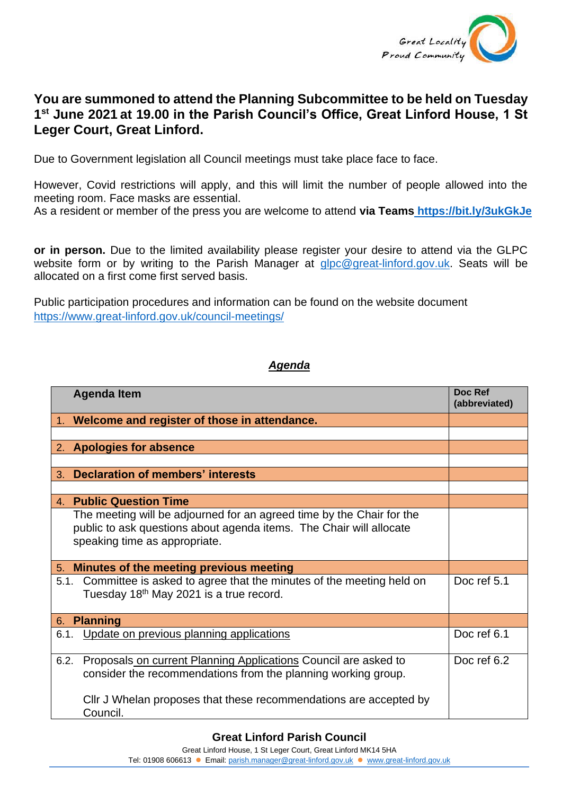

## **You are summoned to attend the Planning Subcommittee to be held on Tuesday 1 st June 2021 at 19.00 in the Parish Council's Office, Great Linford House, 1 St Leger Court, Great Linford.**

Due to Government legislation all Council meetings must take place face to face.

However, Covid restrictions will apply, and this will limit the number of people allowed into the meeting room. Face masks are essential.

As a resident or member of the press you are welcome to attend **via Teams <https://bit.ly/3ukGkJe>**

**or in person.** Due to the limited availability please register your desire to attend via the GLPC website form or by writing to the Parish Manager at [glpc@great-linford.gov.uk.](mailto:glpc@great-linford.gov.uk) Seats will be allocated on a first come first served basis.

Public participation procedures and information can be found on the website document <https://www.great-linford.gov.uk/council-meetings/>

## *Agenda*

| <b>Agenda Item</b>                                                                                                                                                            | Doc Ref<br>(abbreviated) |
|-------------------------------------------------------------------------------------------------------------------------------------------------------------------------------|--------------------------|
| 1. Welcome and register of those in attendance.                                                                                                                               |                          |
|                                                                                                                                                                               |                          |
| 2. Apologies for absence                                                                                                                                                      |                          |
|                                                                                                                                                                               |                          |
| <b>Declaration of members' interests</b><br>$3_{-}$                                                                                                                           |                          |
|                                                                                                                                                                               |                          |
| <b>4. Public Question Time</b>                                                                                                                                                |                          |
| The meeting will be adjourned for an agreed time by the Chair for the<br>public to ask questions about agenda items. The Chair will allocate<br>speaking time as appropriate. |                          |
| 5. Minutes of the meeting previous meeting                                                                                                                                    |                          |
| 5.1. Committee is asked to agree that the minutes of the meeting held on<br>Tuesday 18th May 2021 is a true record.                                                           | Doc ref 5.1              |
| <b>Planning</b><br>6.                                                                                                                                                         |                          |
| Update on previous planning applications<br>6.1.                                                                                                                              | Doc ref 6.1              |
| Proposals on current Planning Applications Council are asked to<br>6.2.<br>consider the recommendations from the planning working group.                                      | Doc ref 6.2              |
| Cllr J Whelan proposes that these recommendations are accepted by<br>Council.                                                                                                 |                          |